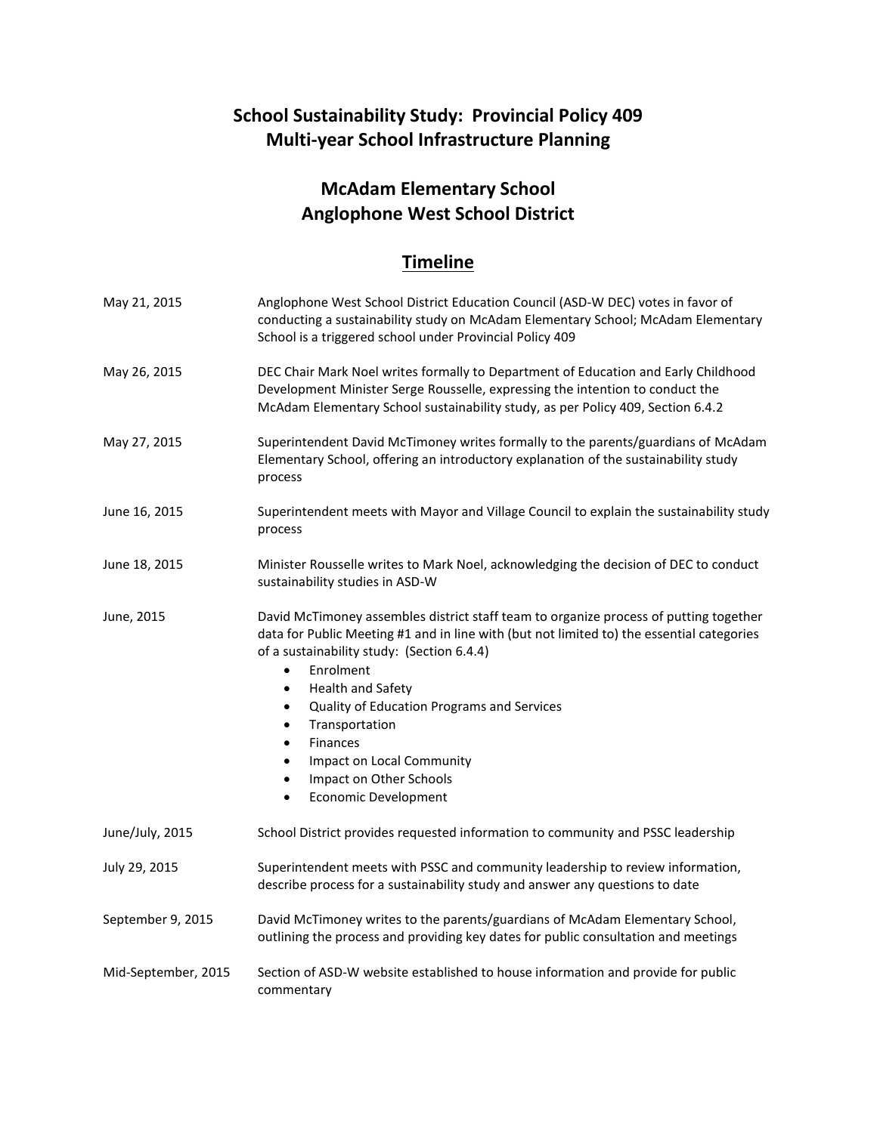## **School Sustainability Study: Provincial Policy 409 Multi-year School Infrastructure Planning**

## **McAdam Elementary School Anglophone West School District**

## **Timeline**

| May 21, 2015        | Anglophone West School District Education Council (ASD-W DEC) votes in favor of<br>conducting a sustainability study on McAdam Elementary School; McAdam Elementary<br>School is a triggered school under Provincial Policy 409                                                                                                                                                                                                                                                                                                                             |
|---------------------|-------------------------------------------------------------------------------------------------------------------------------------------------------------------------------------------------------------------------------------------------------------------------------------------------------------------------------------------------------------------------------------------------------------------------------------------------------------------------------------------------------------------------------------------------------------|
| May 26, 2015        | DEC Chair Mark Noel writes formally to Department of Education and Early Childhood<br>Development Minister Serge Rousselle, expressing the intention to conduct the<br>McAdam Elementary School sustainability study, as per Policy 409, Section 6.4.2                                                                                                                                                                                                                                                                                                      |
| May 27, 2015        | Superintendent David McTimoney writes formally to the parents/guardians of McAdam<br>Elementary School, offering an introductory explanation of the sustainability study<br>process                                                                                                                                                                                                                                                                                                                                                                         |
| June 16, 2015       | Superintendent meets with Mayor and Village Council to explain the sustainability study<br>process                                                                                                                                                                                                                                                                                                                                                                                                                                                          |
| June 18, 2015       | Minister Rousselle writes to Mark Noel, acknowledging the decision of DEC to conduct<br>sustainability studies in ASD-W                                                                                                                                                                                                                                                                                                                                                                                                                                     |
| June, 2015          | David McTimoney assembles district staff team to organize process of putting together<br>data for Public Meeting #1 and in line with (but not limited to) the essential categories<br>of a sustainability study: (Section 6.4.4)<br>Enrolment<br>$\bullet$<br><b>Health and Safety</b><br>$\bullet$<br>Quality of Education Programs and Services<br>$\bullet$<br>Transportation<br>$\bullet$<br><b>Finances</b><br>$\bullet$<br>Impact on Local Community<br>$\bullet$<br>Impact on Other Schools<br>$\bullet$<br><b>Economic Development</b><br>$\bullet$ |
| June/July, 2015     | School District provides requested information to community and PSSC leadership                                                                                                                                                                                                                                                                                                                                                                                                                                                                             |
| July 29, 2015       | Superintendent meets with PSSC and community leadership to review information,<br>describe process for a sustainability study and answer any questions to date                                                                                                                                                                                                                                                                                                                                                                                              |
| September 9, 2015   | David McTimoney writes to the parents/guardians of McAdam Elementary School,<br>outlining the process and providing key dates for public consultation and meetings                                                                                                                                                                                                                                                                                                                                                                                          |
| Mid-September, 2015 | Section of ASD-W website established to house information and provide for public<br>commentary                                                                                                                                                                                                                                                                                                                                                                                                                                                              |